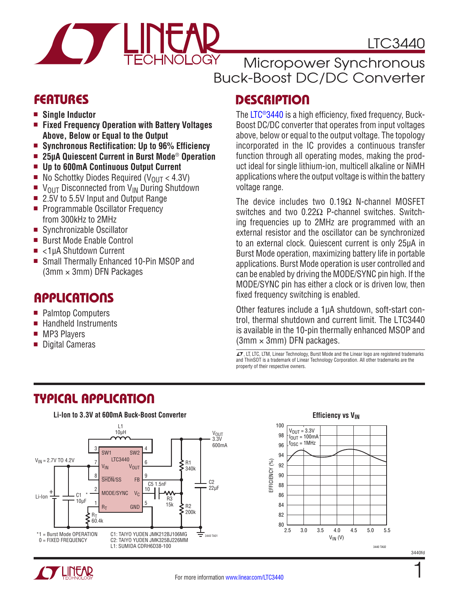

LTC3440

Micropower Synchronous Buck-Boost DC/DC Converter

### Features

- Single Inductor
- Fixed Frequency Operation with Battery Voltages **Above, Below or Equal to the Output**
- Synchronous Rectification: Up to 96% Efficiency
- 25µA Quiescent Current in Burst Mode<sup>®</sup> Operation
- <sup>n</sup> **Up to 600mA Continuous Output Current**
- No Schottky Diodes Required ( $V_{\text{OUT}} < 4.3$ V)
- $\blacksquare$  V<sub>OUT</sub> Disconnected from V<sub>IN</sub> During Shutdown
- 2.5V to 5.5V Input and Output Range
- **Programmable Oscillator Frequency** from 300kHz to 2MHz
- Synchronizable Oscillator
- Burst Mode Enable Control
- $\blacksquare$  <1µA Shutdown Current
- Small Thermally Enhanced 10-Pin MSOP and  $(3mm \times 3mm)$  DFN Packages

### Applications

- Palmtop Computers
- $\blacksquare$  Handheld Instruments
- **NP3 Players**
- Digital Cameras

### **DESCRIPTION**

The [LTC®3440](http://www.linear.com/LTC3440) is a high efficiency, fixed frequency, Buck-Boost DC/DC converter that operates from input voltages above, below or equal to the output voltage. The topology incorporated in the IC provides a continuous transfer function through all operating modes, making the product ideal for single lithium-ion, multicell alkaline or NiMH applications where the output voltage is within the battery voltage range.

The device includes two 0.19Ω N-channel MOSFET switches and two 0.22Ω P-channel switches. Switching frequencies up to 2MHz are programmed with an external resistor and the oscillator can be synchronized to an external clock. Quiescent current is only 25µA in Burst Mode operation, maximizing battery life in portable applications. Burst Mode operation is user controlled and can be enabled by driving the MODE/SYNC pin high. If the MODE/SYNC pin has either a clock or is driven low, then fixed frequency switching is enabled.

Other features include a 1µA shutdown, soft-start control, thermal shutdown and current limit. The LTC3440 is available in the 10-pin thermally enhanced MSOP and  $(3mm \times 3mm)$  DFN packages.

 $\mathcal{I}$ , LT, LTC, LTM, Linear Technology, Burst Mode and the Linear logo are registered trademarks and ThinSOT is a trademark of Linear Technology Corporation. All other trademarks are the property of their respective owners.

### Typical Application



# **Efficiency vs V<sub>IN</sub>**



3440fd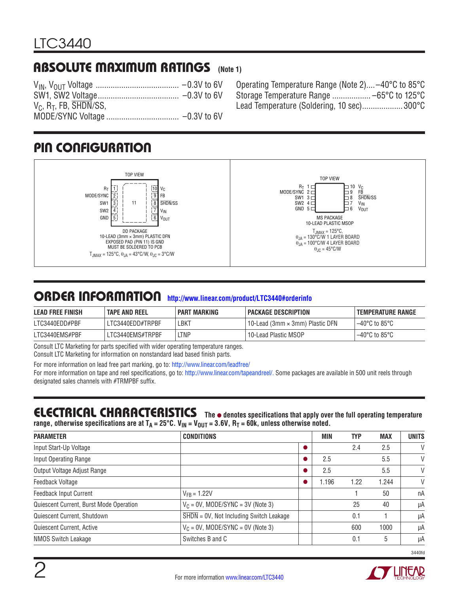#### Absolute Maximum Ratings **(Note 1)**

| $V_C$ , $R_T$ , FB, $\overline{SHDN}/SS$ , |  |
|--------------------------------------------|--|
|                                            |  |

Operating Temperature Range (Note 2)....–40°C to 85°C Storage Temperature Range .................. –65°C to 125°C Lead Temperature (Soldering, 10 sec)...................300°C

### Pin Configuration



### ORDER INFORMATION <http://www.linear.com/product/LTC3440#orderinfo>

| <b>LEAD FREE FINISH</b> | <b>TAPE AND REEL</b> | <b>PART MARKING</b> | PACKAGE DESCRIPTION                    | <b>TEMPERATURE RANGE</b>           |
|-------------------------|----------------------|---------------------|----------------------------------------|------------------------------------|
| LTC3440EDD#PBF          | LTC3440EDD#TRPBF     | ∟BKT                | 10-Lead (3mm $\times$ 3mm) Plastic DFN | $-40^{\circ}$ C to 85°C            |
| LTC3440EMS#PBF          | LTC3440EMS#TRPBF     | LTNP                | 10-Lead Plastic MSOP                   | $-40^{\circ}$ C to 85 $^{\circ}$ C |

Consult LTC Marketing for parts specified with wider operating temperature ranges.

Consult LTC Marketing for information on nonstandard lead based finish parts.

For more information on lead free part marking, go to: http://www.linear.com/leadfree/

For more information on tape and reel specifications, go to: http://www.linear.com/tapeandreel/. Some packages are available in 500 unit reels through designated sales channels with #TRMPBF suffix.

### Electrical Characteristics

**The** ● **denotes specifications that apply over the full operating temperature**  range, otherwise specifications are at  $T_A = 25^{\circ}C$ .  $V_{IN} = V_{OUT} = 3.6V$ ,  $R_T = 60k$ , unless otherwise noted.

| <b>PARAMETER</b>                        | <b>CONDITIONS</b>                                           | MIN   | <b>TYP</b> | <b>MAX</b> | <b>UNITS</b> |
|-----------------------------------------|-------------------------------------------------------------|-------|------------|------------|--------------|
| Input Start-Up Voltage                  |                                                             |       | 2.4        | 2.5        | $\vee$       |
| Input Operating Range                   |                                                             | 2.5   |            | 5.5        | $\vee$       |
| Output Voltage Adjust Range             |                                                             | 2.5   |            | 5.5        | $\vee$       |
| Feedback Voltage                        |                                                             | 1.196 | 1.22       | 1.244      | $\vee$       |
| <b>Feedback Input Current</b>           | $V_{FR} = 1.22V$                                            |       |            | 50         | nA           |
| Quiescent Current, Burst Mode Operation | $V_C = 0V$ , MODE/SYNC = 3V (Note 3)                        |       | 25         | 40         | μA           |
| Quiescent Current, Shutdown             | $\overline{\text{SHDN}}$ = 0V, Not Including Switch Leakage |       | 0.1        |            | μA           |
| Quiescent Current, Active               | $V_C = 0V$ , MODE/SYNC = 0V (Note 3)                        |       | 600        | 1000       | μA           |
| <b>NMOS Switch Leakage</b>              | Switches B and C                                            |       | 0.1        | 5          | μA           |



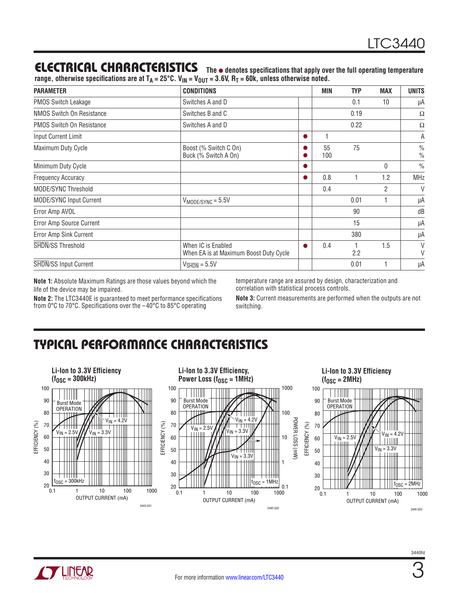### **ELECTRICAL CHARACTERISTICS** The  $\bullet$  denotes specifications that apply over the full operating temperature

range, otherwise specifications are at  $T_A = 25^{\circ}C$ . V<sub>IN</sub> = V<sub>OUT</sub> = 3.6V, R<sub>T</sub> = 60k, unless otherwise noted.

| <b>PARAMETER</b>                 | <b>CONDITIONS</b>                                            | <b>MIN</b> | <b>TYP</b> | <b>MAX</b> | <b>UNITS</b>                   |
|----------------------------------|--------------------------------------------------------------|------------|------------|------------|--------------------------------|
| <b>PMOS Switch Leakage</b>       | Switches A and D                                             |            | 0.1        | 10         | μA                             |
| NMOS Switch On Resistance        | Switches B and C                                             |            | 0.19       |            | Ω                              |
| <b>PMOS Switch On Resistance</b> | Switches A and D                                             |            | 0.22       |            | $\Omega$                       |
| Input Current Limit              |                                                              |            |            |            | Α                              |
| Maximum Duty Cycle               | Boost (% Switch C On)<br>Buck (% Switch A On)                | 55<br>100  | 75         |            | $\frac{0}{0}$<br>$\frac{0}{0}$ |
| Minimum Duty Cycle               |                                                              |            |            | 0          | $\frac{0}{0}$                  |
| <b>Frequency Accuracy</b>        |                                                              | 0.8        |            | 1.2        | <b>MHz</b>                     |
| MODE/SYNC Threshold              |                                                              | 0.4        |            | 2          | V                              |
| <b>MODE/SYNC Input Current</b>   | $V_{MODE/SYNC} = 5.5V$                                       |            | 0.01       |            | μA                             |
| Error Amp AVOL                   |                                                              |            | 90         |            | dB                             |
| Error Amp Source Current         |                                                              |            | 15         |            | μA                             |
| Error Amp Sink Current           |                                                              |            | 380        |            | μA                             |
| SHDN/SS Threshold                | When IC is Enabled<br>When EA is at Maximum Boost Duty Cycle | 0.4        | 2.2        | 1.5        | V<br>V                         |
| SHDN/SS Input Current            | $V_{\overline{\text{SHDN}}} = 5.5V$                          |            | 0.01       |            | μA                             |

**Note 1:** Absolute Maximum Ratings are those values beyond which the life of the device may be impaired.

**Note 2:** The LTC3440E is guaranteed to meet performance specifications from 0°C to 70°C. Specifications over the –40°C to 85°C operating

temperature range are assured by design, characterization and correlation with statistical process controls.

**Note 3:** Current measurements are performed when the outputs are not switching.

### Typical Performance Characteristics



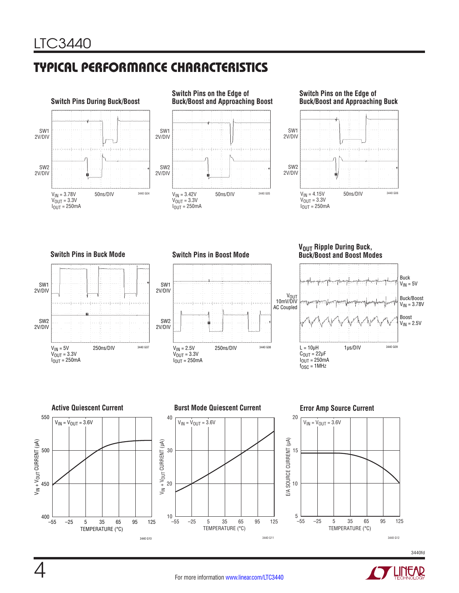### Typical Performance Characteristics











40  $V_{IN} = V_{OUT} = 3.6V$ 







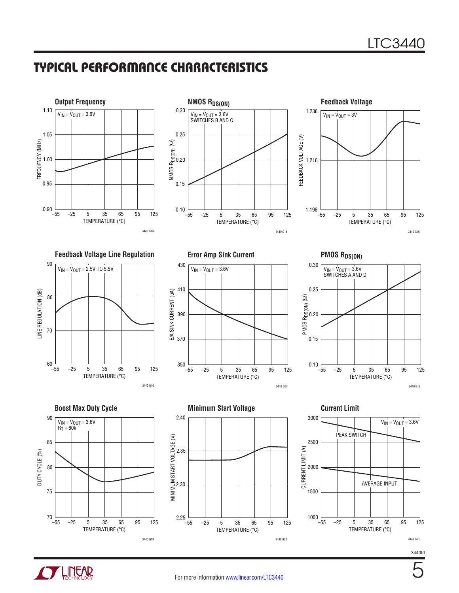### Typical Performance Characteristics







**Feedback Voltage Line Regulation Error Amp Sink Current PMOS RDS(ON)** 



TEMPERATURE (°C) –55 350 E/A SINK CURRENT (µA) 370 390 410 430 –25 5 35 65 95 125  $V_{IN} = V_{OUT} = 3.6V$ 









3440 G17



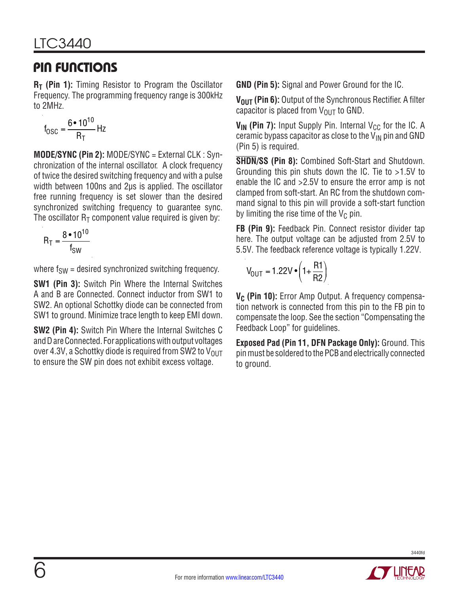### Pin Functions

**R<sub>T</sub>** (Pin 1): Timing Resistor to Program the Oscillator Frequency. The programming frequency range is 300kHz to 2MHz.

$$
f_{\text{OSC}} = \frac{6 \cdot 10^{10}}{R_{\text{T}}} \text{Hz}
$$

**MODE/SYNC (Pin 2):** MODE/SYNC = External CLK : Synchronization of the internal oscillator. A clock frequency of twice the desired switching frequency and with a pulse width between 100ns and 2µs is applied. The oscillator free running frequency is set slower than the desired synchronized switching frequency to guarantee sync. The oscillator  $R_T$  component value required is given by:

$$
R_T = \frac{8 \cdot 10^{10}}{f_{SW}}
$$

where  $f_{SW}$  = desired synchronized switching frequency.

**SW1 (Pin 3):** Switch Pin Where the Internal Switches A and B are Connected. Connect inductor from SW1 to SW2. An optional Schottky diode can be connected from SW1 to ground. Minimize trace length to keep EMI down.

**SW2 (Pin 4):** Switch Pin Where the Internal Switches C and D are Connected. For applications with output voltages over 4.3V, a Schottky diode is required from SW2 to  $V_{OUT}$ to ensure the SW pin does not exhibit excess voltage.

**GND (Pin 5):** Signal and Power Ground for the IC.

**VOUT (Pin 6):** Output of the Synchronous Rectifier. A filter capacitor is placed from  $V_{\text{OUT}}$  to GND.

 $V_{IN}$  (Pin 7): Input Supply Pin. Internal  $V_{CC}$  for the IC. A ceramic bypass capacitor as close to the  $V_{IN}$  pin and GND (Pin 5) is required.

**SHDN/SS (Pin 8):** Combined Soft-Start and Shutdown. Grounding this pin shuts down the IC. Tie to >1.5V to enable the IC and >2.5V to ensure the error amp is not clamped from soft-start. An RC from the shutdown command signal to this pin will provide a soft-start function by limiting the rise time of the  $V_C$  pin.

**FB (Pin 9):** Feedback Pin. Connect resistor divider tap here. The output voltage can be adjusted from 2.5V to 5.5V. The feedback reference voltage is typically 1.22V.

$$
V_{\text{OUT}} = 1.22 V \cdot \left(1 + \frac{R1}{R2}\right)
$$

V<sub>C</sub> (Pin 10): Error Amp Output. A frequency compensation network is connected from this pin to the FB pin to compensate the loop. See the section "Compensating the Feedback Loop" for guidelines.

**Exposed Pad (Pin 11, DFN Package Only):** Ground. This pin must be soldered to the PCB and electrically connected to ground.

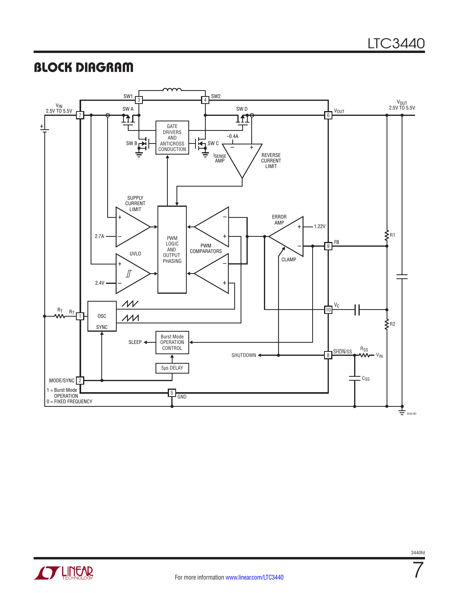### **BLOCK DIAGRAM**





3440fd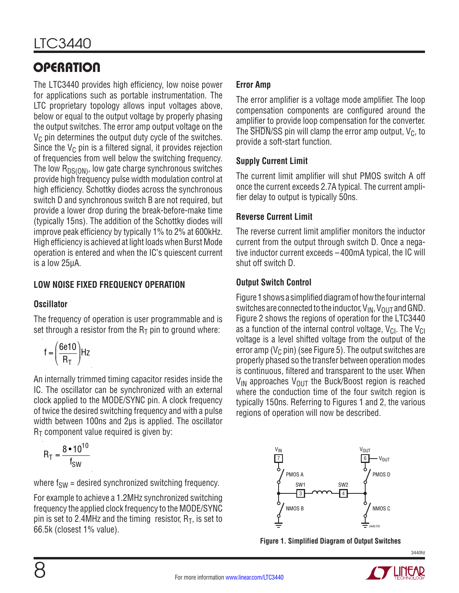The LTC3440 provides high efficiency, low noise power for applications such as portable instrumentation. The LTC proprietary topology allows input voltages above, below or equal to the output voltage by properly phasing the output switches. The error amp output voltage on the  $V_C$  pin determines the output duty cycle of the switches. Since the  $V_C$  pin is a filtered signal, it provides rejection of frequencies from well below the switching frequency. The low  $R_{DS(ON)}$ , low gate charge synchronous switches provide high frequency pulse width modulation control at high efficiency. Schottky diodes across the synchronous switch D and synchronous switch B are not required, but provide a lower drop during the break-before-make time (typically 15ns). The addition of the Schottky diodes will improve peak efficiency by typically 1% to 2% at 600kHz. High efficiency is achieved at light loads when Burst Mode operation is entered and when the IC's quiescent current is a low 25µA.

#### **Low Noise Fixed Frequency Operation**

#### **Oscillator**

The frequency of operation is user programmable and is set through a resistor from the  $R<sub>T</sub>$  pin to ground where:

$$
f = \left(\frac{6e10}{R_T}\right) Hz
$$

An internally trimmed timing capacitor resides inside the IC. The oscillator can be synchronized with an external clock applied to the MODE/SYNC pin. A clock frequency of twice the desired switching frequency and with a pulse width between 100ns and 2µs is applied. The oscillator  $R<sub>T</sub>$  component value required is given by:

$$
R_T = \frac{8 \cdot 10^{10}}{f_{SW}}
$$

where  $f_{SW}$  = desired synchronized switching frequency.

For example to achieve a 1.2MHz synchronized switching frequency the applied clock frequency to the MODE/SYNC pin is set to 2.4MHz and the timing resistor,  $R_T$ , is set to 66.5k (closest 1% value).

#### **Error Amp**

The error amplifier is a voltage mode amplifier. The loop compensation components are configured around the amplifier to provide loop compensation for the converter. The  $\overline{\text{SHDN}}$ /SS pin will clamp the error amp output, V<sub>C</sub>, to provide a soft-start function.

#### **Supply Current Limit**

The current limit amplifier will shut PMOS switch A off once the current exceeds 2.7A typical. The current amplifier delay to output is typically 50ns.

#### **Reverse Current Limit**

The reverse current limit amplifier monitors the inductor current from the output through switch D. Once a negative inductor current exceeds –400mA typical, the IC will shut off switch D.

#### **Output Switch Control**

Figure 1 shows a simplified diagram of how the four internal switches are connected to the inductor,  $V_{IN}$ ,  $V_{OUT}$  and GND. Figure 2 shows the regions of operation for the LTC3440 as a function of the internal control voltage,  $V_{\text{Cl}}$ . The  $V_{\text{Cl}}$ voltage is a level shifted voltage from the output of the error amp ( $V<sub>C</sub>$  pin) (see Figure 5). The output switches are properly phased so the transfer between operation modes is continuous, filtered and transparent to the user. When  $V_{IN}$  approaches  $V_{OUIT}$  the Buck/Boost region is reached where the conduction time of the four switch region is typically 150ns. Referring to Figures 1 and 2, the various regions of operation will now be described.



**Figure 1. Simplified Diagram of Output Switches**



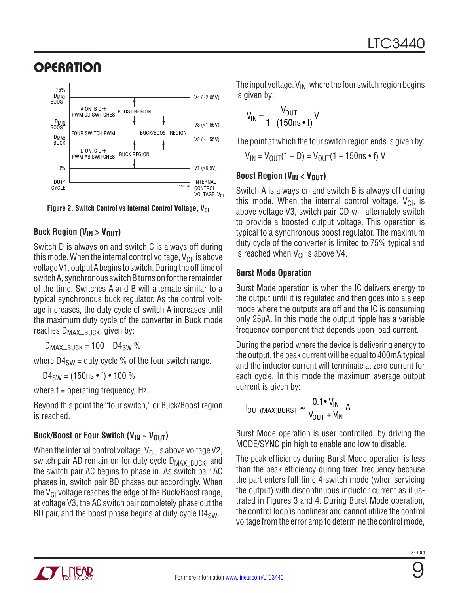

**Figure 2. Switch Control vs Internal Control Voltage, V<sub>CI</sub>** 

#### Buck Region (V<sub>IN</sub> > V<sub>OUT</sub>)

Switch D is always on and switch C is always off during this mode. When the internal control voltage,  $V_{\text{Cl}}$ , is above voltage V1, output A begins to switch. During the off time of switch A, synchronous switch B turns on for the remainder of the time. Switches A and B will alternate similar to a typical synchronous buck regulator. As the control voltage increases, the duty cycle of switch A increases until the maximum duty cycle of the converter in Buck mode reaches D<sub>MAX</sub>\_BUCK, given by:

 $D_{MAX\_B-IICK} = 100 - D4_{SW}$ %

where  $D4<sub>SW</sub>$  = duty cycle % of the four switch range.

 $D4_{SW} = (150 \text{ns} \cdot \text{f}) \cdot 100 \%$ 

where  $f =$  operating frequency,  $Hz$ .

Beyond this point the "four switch," or Buck/Boost region is reached.

#### Buck/Boost or Four Switch (V<sub>IN</sub> ~ V<sub>OUT</sub>)

When the internal control voltage,  $V_{\text{Cl}}$ , is above voltage V2, switch pair AD remain on for duty cycle  $D_{MAX-BICK}$ , and the switch pair AC begins to phase in. As switch pair AC phases in, switch pair BD phases out accordingly. When the  $V_{CI}$  voltage reaches the edge of the Buck/Boost range, at voltage V3, the AC switch pair completely phase out the BD pair, and the boost phase begins at duty cycle  $D4_{SW}$ .

The input voltage,  $V_{IN}$ , where the four switch region begins is given by:

$$
V_{IN} = \frac{V_{OUT}}{1 - (150 \text{ns} \cdot \text{f})} V
$$

The point at which the four switch region ends is given by:

 $V_{IN} = V_{OIII}(1 - D) = V_{OIII}(1 - 150$ ns • f) V

#### **Boost Region (V<sub>IN</sub> < V<sub>OUT</sub>)**

Switch A is always on and switch B is always off during this mode. When the internal control voltage,  $V_{\text{Cl}}$ , is above voltage V3, switch pair CD will alternately switch to provide a boosted output voltage. This operation is typical to a synchronous boost regulator. The maximum duty cycle of the converter is limited to 75% typical and is reached when  $V_{CI}$  is above V4.

#### **Burst Mode Operation**

Burst Mode operation is when the IC delivers energy to the output until it is regulated and then goes into a sleep mode where the outputs are off and the IC is consuming only 25µA. In this mode the output ripple has a variable frequency component that depends upon load current.

During the period where the device is delivering energy to the output, the peak current will be equal to 400mA typical and the inductor current will terminate at zero current for each cycle. In this mode the maximum average output current is given by:

$$
I_{\text{OUT}(MAX)BURST} \approx \frac{0.1 \cdot V_{\text{IN}}}{V_{\text{OUT}} + V_{\text{IN}}} A
$$

Burst Mode operation is user controlled, by driving the MODE/SYNC pin high to enable and low to disable.

The peak efficiency during Burst Mode operation is less than the peak efficiency during fixed frequency because the part enters full-time 4-switch mode (when servicing the output) with discontinuous inductor current as illustrated in Figures 3 and 4. During Burst Mode operation, the control loop is nonlinear and cannot utilize the control voltage from the error amp to determine the control mode,



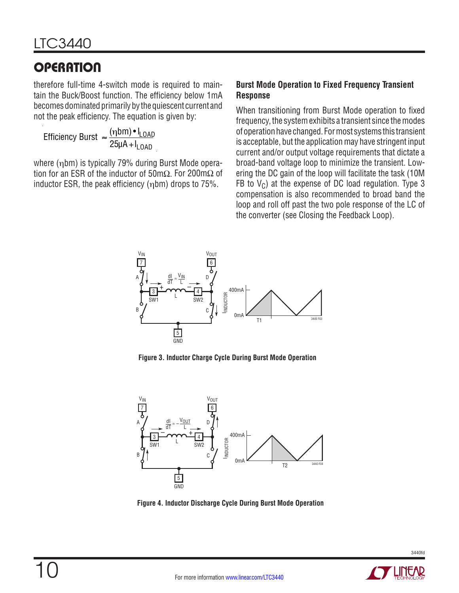therefore full-time 4-switch mode is required to maintain the Buck/Boost function. The efficiency below 1mA becomes dominated primarily by the quiescent current and not the peak efficiency. The equation is given by:

Efficiency Burst  $\approx \frac{(nbm) \cdot l_{\text{LOAD}}}{25}$ 25µA + I<sub>LOAD</sub>

where (ηbm) is typically 79% during Burst Mode operation for an ESR of the inductor of 50m $\Omega$ . For 200m $\Omega$  of inductor ESR, the peak efficiency (ηbm) drops to 75%.

#### **Burst Mode Operation to Fixed Frequency Transient Response**

When transitioning from Burst Mode operation to fixed frequency, the system exhibits a transient since the modes of operation have changed. For most systems this transient is acceptable, but the application may have stringent input current and/or output voltage requirements that dictate a broad-band voltage loop to minimize the transient. Lowering the DC gain of the loop will facilitate the task (10M FB to  $V_c$ ) at the expense of DC load regulation. Type 3 compensation is also recommended to broad band the loop and roll off past the two pole response of the LC of the converter (see Closing the Feedback Loop).



**Figure 3. Inductor Charge Cycle During Burst Mode Operation**



**Figure 4. Inductor Discharge Cycle During Burst Mode Operation**

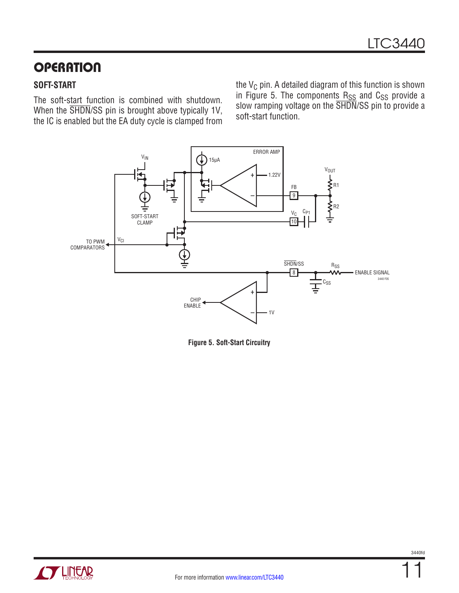#### **Soft-Start**

The soft-start function is combined with shutdown. When the SHDN/SS pin is brought above typically 1V, the IC is enabled but the EA duty cycle is clamped from the  $V_C$  pin. A detailed diagram of this function is shown in Figure 5. The component $\frac{\mathsf{R}_{\text{SS}}}{{\mathsf{R}_{\text{SS}}}}$  and  $\mathsf{C}_{\text{SS}}$  provide a slow ramping voltage on the SHDN/SS pin to provide a soft-start function.



**Figure 5. Soft-Start Circuitry**

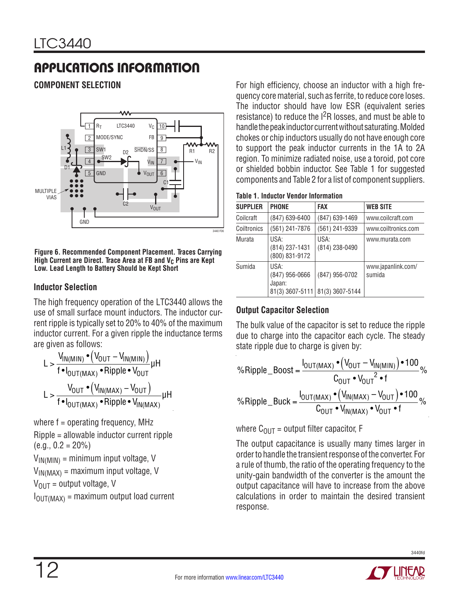## Applications Information

**COMPONENT SELECTION**



**Figure 6. Recommended Component Placement. Traces Carrying High Current are Direct. Trace Area at FB and V<sub>C</sub> Pins are Kept Low. Lead Length to Battery Should be Kept Short**

#### **Inductor Selection**

The high frequency operation of the LTC3440 allows the use of small surface mount inductors. The inductor current ripple is typically set to 20% to 40% of the maximum inductor current. For a given ripple the inductance terms are given as follows:

$$
L > \frac{V_{IN(MIN)} \cdot (V_{OUT} - V_{IN(MIN)})}{f \cdot I_{OUT(MAX)} \cdot Ripple \cdot V_{OUT}} \mu H
$$
  

$$
L > \frac{V_{OUT} \cdot (V_{IN(MAX)} - V_{OUT})}{f \cdot I_{OUT(MAX)} \cdot Ripple \cdot V_{IN(MAX)}} \mu H
$$

where  $f =$  operating frequency, MHz Ripple = allowable inductor current ripple  $(e.g., 0.2 = 20\%)$  $V_{IN(MIN)}$  = minimum input voltage, V  $V_{IN(MAX)}$  = maximum input voltage, V  $V_{OIII}$  = output voltage, V  $I_{\text{OUT}(MAX)}$  = maximum output load current For high efficiency, choose an inductor with a high frequency core material, such as ferrite, to reduce core loses. The inductor should have low ESR (equivalent series resistance) to reduce the  $1<sup>2</sup>R$  losses, and must be able to handle the peak inductor current without saturating. Molded chokes or chip inductors usually do not have enough core to support the peak inductor currents in the 1A to 2A region. To minimize radiated noise, use a toroid, pot core or shielded bobbin inductor. See Table 1 for suggested components and Table 2 for a list of component suppliers.

| <b>SUPPLIER</b> | <b>PHONE</b>                                        | <b>FAX</b>                        | <b>WEB SITE</b>              |
|-----------------|-----------------------------------------------------|-----------------------------------|------------------------------|
| Coilcraft       | (847) 639-6400                                      | (847) 639-1469                    | www.coilcraft.com            |
| Coiltronics     | (561) 241-7876                                      | (561) 241-9339                    | www.coiltronics.com          |
| Murata          | USA:<br>(814) 237-1431<br>(800) 831-9172            | USA:<br>(814) 238-0490            | www.murata.com               |
| Sumida          | USA:<br>(847) 956-0666<br>Japan:<br>81(3) 3607-5111 | (847) 956-0702<br>81(3) 3607-5144 | www.japanlink.com/<br>sumida |

#### **Output Capacitor Selection**

The bulk value of the capacitor is set to reduce the ripple due to charge into the capacitor each cycle. The steady state ripple due to charge is given by:

$$
\% \text{Ripple\_Boost} = \frac{I_{OUT(MAX)} \cdot (V_{OUT} - V_{IN(MIN)}) \cdot 100}{C_{OUT} \cdot V_{OUT}^2 \cdot f} \%
$$
  

$$
\% \text{Ripple\_Buck} = \frac{I_{OUT(MAX)} \cdot (V_{IN(MAX)} - V_{OUT}) \cdot 100}{C_{OUT} \cdot V_{IN(MAX)} \cdot V_{OUT} \cdot f} \%
$$

where  $C_{\text{OUT}}$  = output filter capacitor, F

The output capacitance is usually many times larger in order to handle the transient response of the converter. For a rule of thumb, the ratio of the operating frequency to the unity-gain bandwidth of the converter is the amount the output capacitance will have to increase from the above calculations in order to maintain the desired transient response.

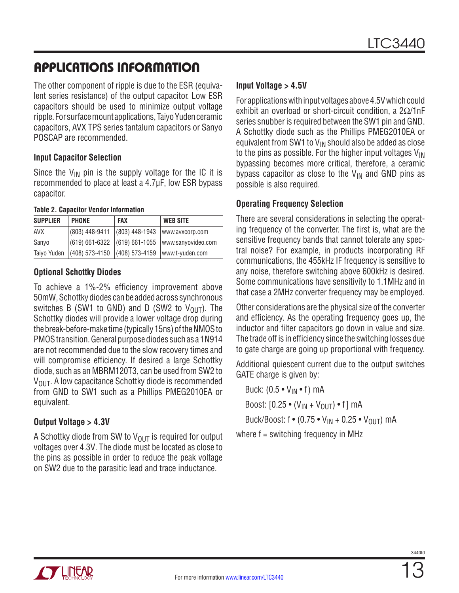### APPLICATIONS INFORMATION

The other component of ripple is due to the ESR (equivalent series resistance) of the output capacitor. Low ESR capacitors should be used to minimize output voltage ripple. For surface mount applications, Taiyo Yuden ceramic capacitors, AVX TPS series tantalum capacitors or Sanyo POSCAP are recommended.

#### **Input Capacitor Selection**

Since the  $V_{IN}$  pin is the supply voltage for the IC it is recommended to place at least a 4.7µF, low ESR bypass capacitor.

#### **Table 2. Capacitor Vendor Information**

| <b>SUPPLIER</b> | <b>PHONE</b>     | <b>FAX</b>                            | <b>WEB SITE</b>    |
|-----------------|------------------|---------------------------------------|--------------------|
| AVX             | (803) 448-9411   | $(803)$ 448-1943                      | www.avxcorp.com    |
| Sanyo           |                  | $(619) 661 - 6322$ $(619) 661 - 1055$ | www.sanyovideo.com |
| Taiyo Yuden     | $(408)$ 573-4150 | $(408)$ 573-4159                      | www.t-yuden.com    |

#### **Optional Schottky Diodes**

To achieve a 1%-2% efficiency improvement above 50mW, Schottky diodes can be added across synchronous switches B (SW1 to GND) and D (SW2 to  $V_{OIII}$ ). The Schottky diodes will provide a lower voltage drop during the break-before-make time (typically 15ns) of the NMOS to PMOS transition. General purpose diodes such as a 1N914 are not recommended due to the slow recovery times and will compromise efficiency. If desired a large Schottky diode, such as an MBRM120T3, can be used from SW2 to  $V_{\text{OUT}}$ . A low capacitance Schottky diode is recommended from GND to SW1 such as a Phillips PMEG2010EA or equivalent.

#### **Output Voltage > 4.3V**

A Schottky diode from SW to  $V_{\text{OUT}}$  is required for output voltages over 4.3V. The diode must be located as close to the pins as possible in order to reduce the peak voltage on SW2 due to the parasitic lead and trace inductance.

#### **Input Voltage > 4.5V**

For applications with input voltages above 4.5V which could exhibit an overload or short-circuit condition, a 2Ω/1nF series snubber is required between the SW1 pin and GND. A Schottky diode such as the Phillips PMEG2010EA or equivalent from SW1 to  $V_{IN}$  should also be added as close to the pins as possible. For the higher input voltages  $V_{\text{IN}}$ bypassing becomes more critical, therefore, a ceramic bypass capacitor as close to the  $V_{IN}$  and GND pins as possible is also required.

#### **Operating Frequency Selection**

There are several considerations in selecting the operating frequency of the converter. The first is, what are the sensitive frequency bands that cannot tolerate any spectral noise? For example, in products incorporating RF communications, the 455kHz IF frequency is sensitive to any noise, therefore switching above 600kHz is desired. Some communications have sensitivity to 1.1MHz and in that case a 2MHz converter frequency may be employed.

Other considerations are the physical size of the converter and efficiency. As the operating frequency goes up, the inductor and filter capacitors go down in value and size. The trade off is in efficiency since the switching losses due to gate charge are going up proportional with frequency.

Additional quiescent current due to the output switches GATE charge is given by:

Buck:  $(0.5 \cdot V_{IN} \cdot f)$  mA

Boost:  $[0.25 \cdot (V_{IN} + V_{OUT}) \cdot f]$  mA

Buck/Boost:  $f \cdot (0.75 \cdot V_{IN} + 0.25 \cdot V_{OUT})$  mA

where  $f =$  switching frequency in MHz

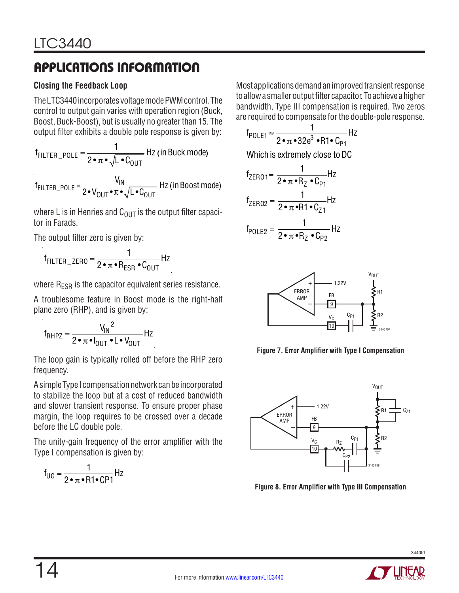### APPLICATIONS INFORMATION

#### **Closing the Feedback Loop**

The LTC3440 incorporates voltage mode PWM control. The control to output gain varies with operation region (Buck, Boost, Buck-Boost), but is usually no greater than 15. The output filter exhibits a double pole response is given by:

 $f_{\text{FILTER\_POLE}} = \frac{1}{2.2 \times 10^{-4} \text{ J}}$ 2•π•√L•C<sub>OUT</sub> Hz (in Buck mode)

 $f_{\text{FILTER\_POLE}} = \frac{V_{\text{IN}}}{2.214 \times 10^{-10}}$ 2•V<sub>OUT</sub>•π•√L•C<sub>OUT</sub> Hz (inBoost mode)

where L is in Henries and  $C_{\text{OUT}}$  is the output filter capacitor in Farads.

The output filter zero is given by:

$$
f_{\text{FILTER}\_\text{ZERO}} = \frac{1}{2 \cdot \pi \cdot R_{\text{ESR}} \cdot C_{\text{OUT}}} Hz
$$

where  $R_{ESR}$  is the capacitor equivalent series resistance.

A troublesome feature in Boost mode is the right-half plane zero (RHP), and is given by:

$$
f_{RHPZ} = \frac{V_{IN}^2}{2 \cdot \pi \cdot I_{OUT} \cdot L \cdot V_{OUT}} Hz
$$

The loop gain is typically rolled off before the RHP zero frequency.

A simple Type I compensation network can be incorporated to stabilize the loop but at a cost of reduced bandwidth and slower transient response. To ensure proper phase margin, the loop requires to be crossed over a decade before the LC double pole.

The unity-gain frequency of the error amplifier with the Type I compensation is given by:

$$
f_{UG} = \frac{1}{2 \cdot \pi \cdot R1 \cdot CP1} Hz
$$

Most applications demand an improved transient response to allow a smaller output filter capacitor. To achieve a higher bandwidth, Type III compensation is required. Two zeros are required to compensate for the double-pole response.

$$
f_{\text{POLE1}} \approx \frac{1}{2 \cdot \pi \cdot 32e^3 \cdot \text{R1} \cdot \text{C}_{\text{P1}}} \text{Hz}
$$

Which is extremely close to DC

$$
f_{\text{ZERO1}} = \frac{1}{2 \cdot \pi \cdot R_{\text{Z}} \cdot C_{\text{P1}}} Hz
$$

$$
f_{\text{ZERO2}} = \frac{1}{2 \cdot \pi \cdot R_{\text{Z}} \cdot C_{\text{P1}}} Hz
$$

$$
f_{\text{ZERO2}} = \frac{1}{2 \cdot \pi \cdot \text{R1} \cdot \text{C}_{\text{Z1}}} \text{Hz}
$$

$$
f_{\text{POLE2}} = \frac{1}{2 \cdot \pi \cdot R_Z \cdot C_{P2}} HZ
$$



**Figure 7. Error Amplifier with Type I Compensation**



**Figure 8. Error Amplifier with Type III Compensation**

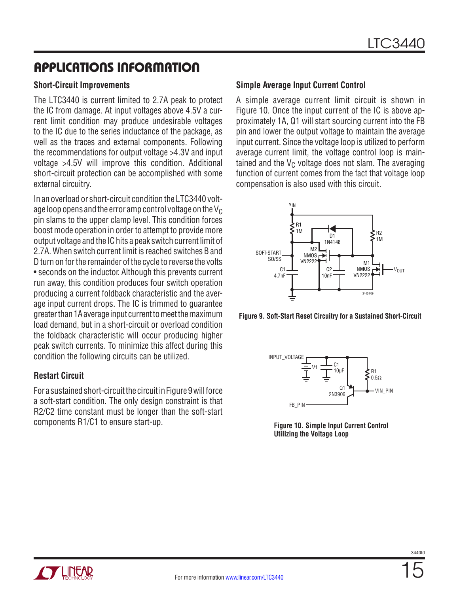### APPLICATIONS INFORMATION

#### **Short-Circuit Improvements**

The LTC3440 is current limited to 2.7A peak to protect the IC from damage. At input voltages above 4.5V a current limit condition may produce undesirable voltages to the IC due to the series inductance of the package, as well as the traces and external components. Following the recommendations for output voltage >4.3V and input voltage >4.5V will improve this condition. Additional short-circuit protection can be accomplished with some external circuitry.

In an overload or short-circuit condition the LTC3440 voltage loop opens and the error amp control voltage on the  $V_C$ pin slams to the upper clamp level. This condition forces boost mode operation in order to attempt to provide more output voltage and the IC hits a peak switch current limit of 2.7A. When switch current limit is reached switches B and D turn on for the remainder of the cycle to reverse the volts • seconds on the inductor. Although this prevents current run away, this condition produces four switch operation producing a current foldback characteristic and the average input current drops. The IC is trimmed to guarantee greater than 1A average input current to meet the maximum load demand, but in a short-circuit or overload condition the foldback characteristic will occur producing higher peak switch currents. To minimize this affect during this condition the following circuits can be utilized.

#### **Restart Circuit**

For a sustained short-circuit the circuit in Figure 9 will force a soft-start condition. The only design constraint is that R2/C2 time constant must be longer than the soft-start components R1/C1 to ensure start-up.

#### **Simple Average Input Current Control**

A simple average current limit circuit is shown in Figure 10. Once the input current of the IC is above approximately 1A, Q1 will start sourcing current into the FB pin and lower the output voltage to maintain the average input current. Since the voltage loop is utilized to perform average current limit, the voltage control loop is maintained and the  $V_C$  voltage does not slam. The averaging function of current comes from the fact that voltage loop compensation is also used with this circuit.







**Figure 10. Simple Input Current Control Utilizing the Voltage Loop**

3440fr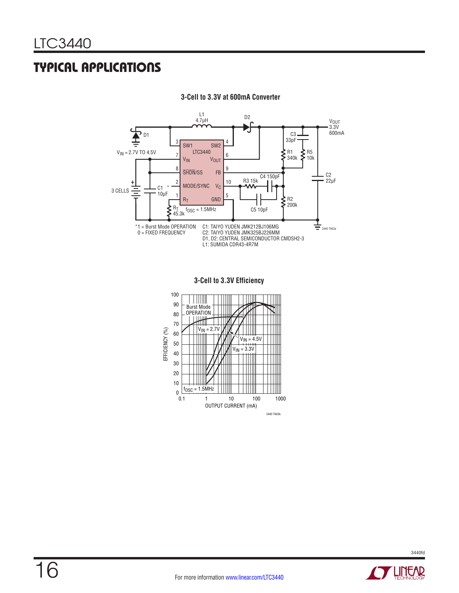### Typical Applications



**3-Cell to 3.3V at 600mA Converter**

**3-Cell to 3.3V Efficiency**



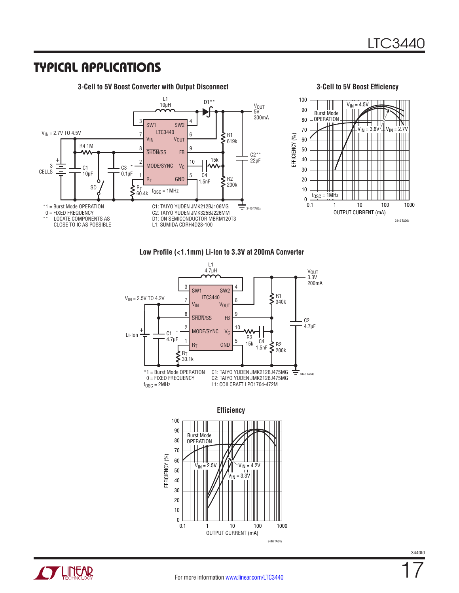### TYPICAL APPLICATIONS



 **Low Profile (<1.1mm) Li-Ion to 3.3V at 200mA Converter**





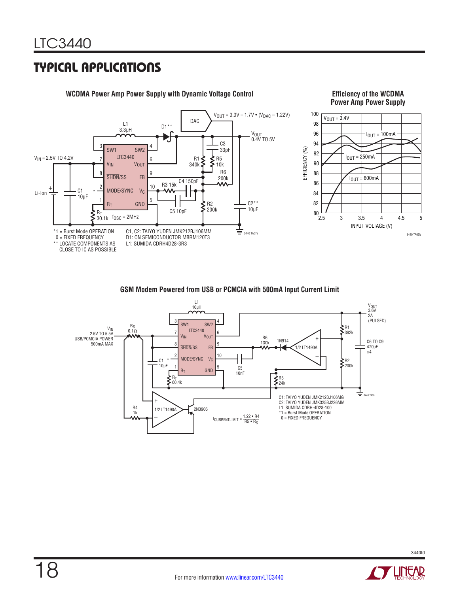### TYPICAL APPLICATIONS



#### **GSM Modem Powered from USB or PCMCIA with 500mA Input Current Limit**

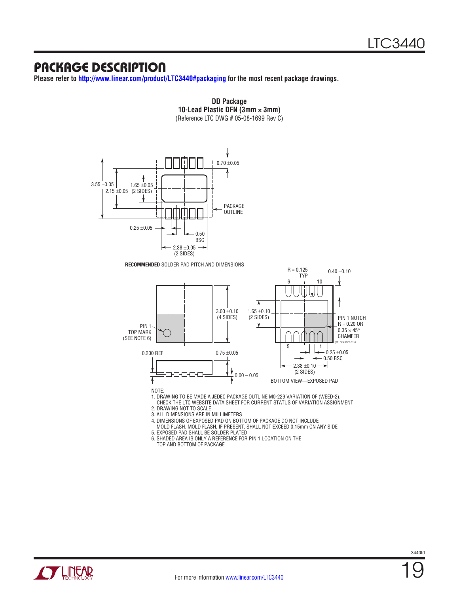### Package Description

**Please refer to <http://www.linear.com/product/LTC3440#packaging>for the most recent package drawings.**



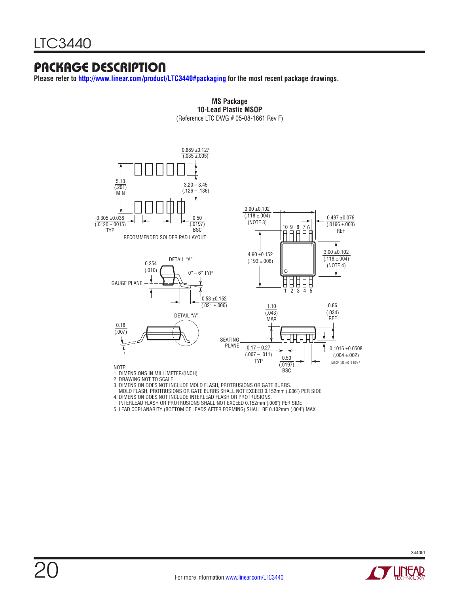### Package Description

**Please refer to <http://www.linear.com/product/LTC3440#packaging>for the most recent package drawings.**



**MS Package 10-Lead Plastic MSOP 10-Lead Plastic MSOP** (Reference LTC DWG # 05-08-1661 Rev F) $\mathcal{L}$ 

**MS Package**

3. DIMENSION DOES NOT INCLUDE MOLD FLASH, PROTRUSIONS OR GATE BURRS.

 MOLD FLASH, PROTRUSIONS OR GATE BURRS SHALL NOT EXCEED 0.152mm (.006") PER SIDE 4. DIMENSION DOES NOT INCLUDE INTERLEAD FLASH OR PROTRUSIONS.

INTERLEAD FLASH OR PROTRUSIONS SHALL NOT EXCEED 0.152mm (.006") PER SIDE

5. LEAD COPLANARITY (BOTTOM OF LEADS AFTER FORMING) SHALL BE 0.102mm (.004") MAX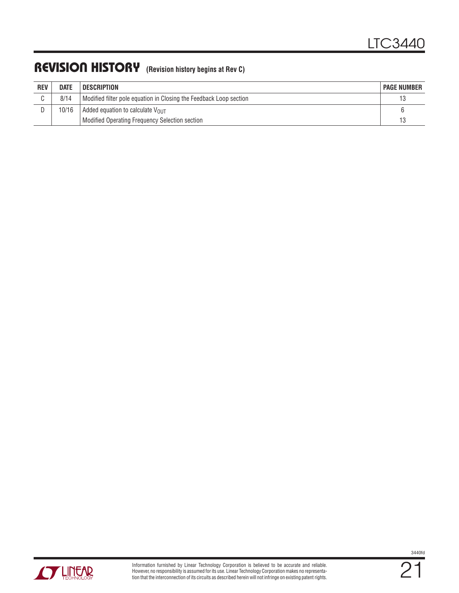### REVISION HISTORY (Revision history begins at Rev C)

| <b>REV</b> | <b>DATE</b> | <b>DESCRIPTION</b>                                                 | <b>PAGE NUMBER</b> |
|------------|-------------|--------------------------------------------------------------------|--------------------|
|            | 8/14        | Modified filter pole equation in Closing the Feedback Loop section |                    |
|            | 10/16       | Added equation to calculate $V_{\Omega\Pi\top}$                    |                    |
|            |             | Modified Operating Frequency Selection section                     | 13                 |